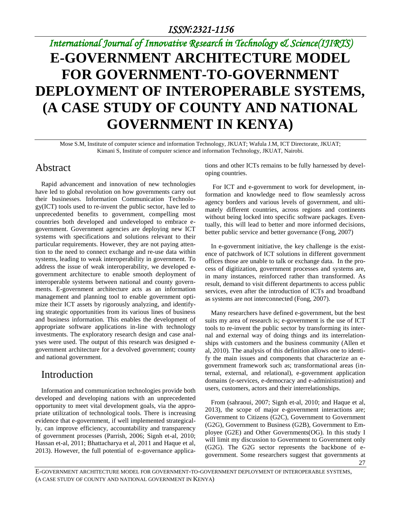# *International Journal of Innovative Research in Technology & Science(IJIRTS)* **E-GOVERNMENT ARCHITECTURE MODEL FOR GOVERNMENT-TO-GOVERNMENT DEPLOYMENT OF INTEROPERABLE SYSTEMS, (A CASE STUDY OF COUNTY AND NATIONAL GOVERNMENT IN KENYA)**

Mose S.M, Institute of computer science and information Technology, JKUAT; Wafula J.M, ICT Directorate, JKUAT; Kimani S, Institute of computer science and information Technology, JKUAT, Nairobi.

### Abstract

Rapid advancement and innovation of new technologies have led to global revolution on how governments carry out their businesses. Information Communication Technology(ICT) tools used to re-invent the public sector, have led to unprecedented benefits to government, compelling most countries both developed and undeveloped to embrace egovernment. Government agencies are deploying new ICT systems with specifications and solutions relevant to their particular requirements. However, they are not paying attention to the need to connect exchange and re-use data within systems, leading to weak interoperability in government. To address the issue of weak interoperability, we developed egovernment architecture to enable smooth deployment of interoperable systems between national and county governments. E-government architecture acts as an information management and planning tool to enable government optimize their ICT assets by rigorously analyzing, and identifying strategic opportunities from its various lines of business and business information. This enables the development of appropriate software applications in-line with technology investments. The exploratory research design and case analyses were used. The output of this research was designed egovernment architecture for a devolved government; county and national government.

### Introduction

Information and communication technologies provide both developed and developing nations with an unprecedented opportunity to meet vital development goals, via the appropriate utilization of technological tools. There is increasing evidence that e-government, if well implemented strategically, can improve efficiency, accountability and transparency of government processes (Parrish, 2006; Signh et-al, 2010; Hassan et-al, 2011; Bhattacharya et al, 2011 and Haque et al, 2013). However, the full potential of e-governance applications and other ICTs remains to be fully harnessed by developing countries.

For ICT and e-government to work for development, information and knowledge need to flow seamlessly across agency borders and various levels of government, and ultimately different countries, across regions and continents without being locked into specific software packages. Eventually, this will lead to better and more informed decisions, better public service and better governance (Fong, 2007)

In e-government initiative, the key challenge is the existence of patchwork of ICT solutions in different government offices those are unable to talk or exchange data. In the process of digitization, government processes and systems are, in many instances, reinforced rather than transformed. As result, demand to visit different departments to access public services, even after the introduction of ICTs and broadband as systems are not interconnected (Fong, 2007).

Many researchers have defined e-government, but the best suits my area of research is; e-government is the use of ICT tools to re-invent the public sector by transforming its internal and external way of doing things and its interrelationships with customers and the business community (Allen et al, 2010). The analysis of this definition allows one to identify the main issues and components that characterize an egovernment framework such as; transformational areas (internal, external, and relational), e-government application domains (e-services, e-democracy and e-administration) and users, customers, actors and their interrelationships.

27 From (sahraoui, 2007; Signh et-al, 2010; and Haque et al, 2013), the scope of major e-government interactions are; Government to Citizens (G2C), Government to Government (G2G), Government to Business (G2B), Government to Employee (G2E) and Other Governments(OG). In this study I will limit my discussion to Government to Government only (G2G). The G2G sector represents the backbone of egovernment. Some researchers suggest that governments at

E-GOVERNMENT ARCHITECTURE MODEL FOR GOVERNMENT-TO-GOVERNMENT DEPLOYMENT OF INTEROPERABLE SYSTEMS, (A CASE STUDY OF COUNTY AND NATIONAL GOVERNMENT IN KENYA)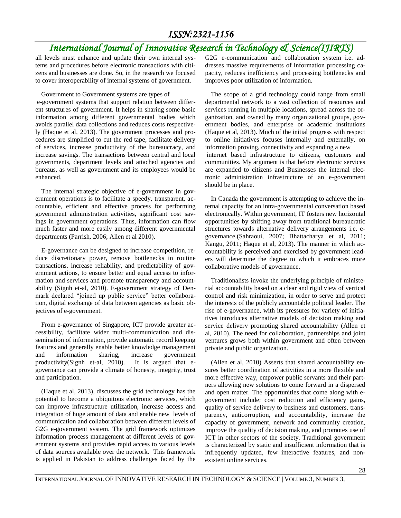# *International Journal of Innovative Research in Technology & Science(IJIRTS)*

all levels must enhance and update their own internal systems and procedures before electronic transactions with citizens and businesses are done. So, in the research we focused to cover interoperability of internal systems of government.

Government to Government systems are types of

e-government systems that support relation between different structures of government. It helps in sharing some basic information among different governmental bodies which avoids parallel data collections and reduces costs respectively (Haque et al, 2013). The government processes and procedures are simplified to cut the red tape, facilitate delivery of services, increase productivity of the bureaucracy, and increase savings. The transactions between central and local governments, department levels and attached agencies and bureaus, as well as government and its employees would be enhanced.

The internal strategic objective of e-government in government operations is to facilitate a speedy, transparent, accountable, efficient and effective process for performing government administration activities, significant cost savings in government operations. Thus, information can flow much faster and more easily among different governmental departments (Parrish, 2006; Allen et al 2010).

E-governance can be designed to increase competition, reduce discretionary power, remove bottlenecks in routine transactions, increase reliability, and predictability of government actions, to ensure better and equal access to information and services and promote transparency and accountability (Signh et-al, 2010). E-government strategy of Denmark declared "joined up public service" better collaboration, digital exchange of data between agencies as basic objectives of e-government.

From e-governance of Singapore, ICT provide greater accessibility, facilitate wider multi-communication and dissemination of information, provide automatic record keeping features and generally enable better knowledge management and information sharing, increase government productivity(Signh et-al, 2010). It is argued that egovernance can provide a climate of honesty, integrity, trust and participation.

(Haque et al, 2013), discusses the grid technology has the potential to become a ubiquitous electronic services, which can improve infrastructure utilization, increase access and integration of huge amount of data and enable new levels of communication and collaboration between different levels of G2G e-government system. The grid framework optimizes information process management at different levels of government systems and provides rapid access to various levels of data sources available over the network. This framework is applied in Pakistan to address challenges faced by the

G2G e-communication and collaboration system i.e. addresses massive requirements of information processing capacity, reduces inefficiency and processing bottlenecks and improves poor utilization of information.

The scope of a grid technology could range from small departmental network to a vast collection of resources and services running in multiple locations, spread across the organization, and owned by many organizational groups, government bodies, and enterprise or academic institutions (Haque et al, 2013). Much of the initial progress with respect to online initiatives focuses internally and externally, on information proving, connectivity and expanding a new

internet based infrastructure to citizens, customers and communities. My argument is that before electronic services are expanded to citizens and Businesses the internal electronic administration infrastructure of an e-government should be in place.

In Canada the government is attempting to achieve the internal capacity for an intra-governmental conversation based electronically. Within government, IT fosters new horizontal opportunities by shifting away from traditional bureaucratic structures towards alternative delivery arrangements i.e. egovernance.(Sahraoui, 2007; Bhattacharya et al, 2011; Kangu, 2011; Haque et al, 2013). The manner in which accountability is perceived and exercised by government leaders will determine the degree to which it embraces more collaborative models of governance.

Traditionalists invoke the underlying principle of ministerial accountability based on a clear and rigid view of vertical control and risk minimization, in order to serve and protect the interests of the publicly accountable political leader. The rise of e-governance, with its pressures for variety of initiatives introduces alternative models of decision making and service delivery promoting shared accountability (Allen et al, 2010). The need for collaboration, partnerships and joint ventures grows both within government and often between private and public organization.

(Allen et al, 2010) Asserts that shared accountability ensures better coordination of activities in a more flexible and more effective way, empower public servants and their partners allowing new solutions to come forward in a dispersed and open matter. The opportunities that come along with egovernment include; cost reduction and efficiency gains, quality of service delivery to business and customers, transparency, anticorruption, and accountability, increase the capacity of government, network and community creation, improve the quality of decision making, and promotes use of ICT in other sectors of the society. Traditional government is characterized by static and insufficient information that is infrequently updated, few interactive features, and nonexistent online services.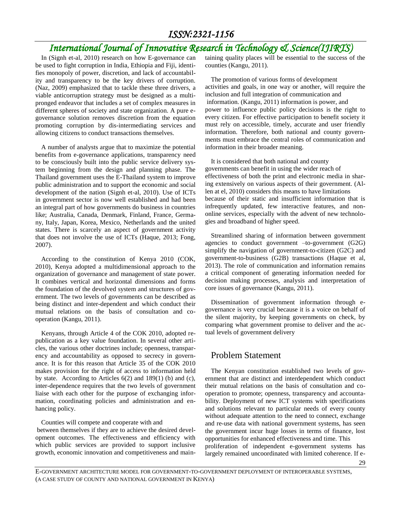# *International Journal of Innovative Research in Technology & Science(IJIRTS)*

In (Signh et-al, 2010) research on how E-governance can be used to fight corruption in India, Ethiopia and Fiji, identifies monopoly of power, discretion, and lack of accountability and transparency to be the key drivers of corruption. (Naz, 2009) emphasized that to tackle these three drivers, a viable anticorruption strategy must be designed as a multipronged endeavor that includes a set of complex measures in different spheres of society and state organization. A pure egovernance solution removes discretion from the equation promoting corruption by dis-intermediating services and allowing citizens to conduct transactions themselves.

A number of analysts argue that to maximize the potential benefits from e-governance applications, transparency need to be consciously built into the public service delivery system beginning from the design and planning phase. The Thailand government uses the E-Thailand system to improve public administration and to support the economic and social development of the nation (Signh et-al, 2010). Use of ICTs in government sector is now well established and had been an integral part of how governments do business in countries like; Australia, Canada, Denmark, Finland, France, Germany, Italy, Japan, Korea, Mexico, Netherlands and the united states. There is scarcely an aspect of government activity that does not involve the use of ICTs (Haque, 2013; Fong, 2007).

According to the constitution of Kenya 2010 (COK, 2010), Kenya adopted a multidimensional approach to the organization of governance and management of state power. It combines vertical and horizontal dimensions and forms the foundation of the devolved system and structures of government. The two levels of governments can be described as being distinct and inter-dependent and which conduct their mutual relations on the basis of consultation and cooperation (Kangu, 2011).

Kenyans, through Article 4 of the COK 2010, adopted republication as a key value foundation. In several other articles, the various other doctrines include; openness, transparency and accountability as opposed to secrecy in governance. It is for this reason that Article 35 of the COK 2010 makes provision for the right of access to information held by state. According to Articles 6(2) and 189(1) (b) and (c), inter-dependence requires that the two levels of government liaise with each other for the purpose of exchanging information, coordinating policies and administration and enhancing policy.

Counties will compete and cooperate with and

between themselves if they are to achieve the desired development outcomes. The effectiveness and efficiency with which public services are provided to support inclusive growth, economic innovation and competitiveness and maintaining quality places will be essential to the success of the counties (Kangu, 2011).

The promotion of various forms of development activities and goals, in one way or another, will require the inclusion and full integration of communication and information. (Kangu, 2011) information is power, and power to influence public policy decisions is the right to every citizen. For effective participation to benefit society it must rely on accessible, timely, accurate and user friendly information. Therefore, both national and county governments must embrace the central roles of communication and information in their broader meaning.

It is considered that both national and county governments can benefit in using the wider reach of effectiveness of both the print and electronic media in sharing extensively on various aspects of their government. (Allen at el, 2010) considers this means to have limitations because of their static and insufficient information that is infrequently updated, few interactive features, and nononline services, especially with the advent of new technologies and broadband of higher speed.

Streamlined sharing of information between government agencies to conduct government –to-government (G2G) simplify the navigation of government-to-citizen (G2C) and government-to-business (G2B) transactions (Haque et al, 2013). The role of communication and information remains a critical component of generating information needed for decision making processes, analysis and interpretation of core issues of governance (Kangu, 2011).

Dissemination of government information through egovernance is very crucial because it is a voice on behalf of the silent majority, by keeping governments on check, by comparing what government promise to deliver and the actual levels of government delivery

### Problem Statement

The Kenyan constitution established two levels of government that are distinct and interdependent which conduct their mutual relations on the basis of consultation and cooperation to promote; openness, transparency and accountability. Deployment of new ICT systems with specifications and solutions relevant to particular needs of every county without adequate attention to the need to connect, exchange and re-use data with national government systems, has seen the government incur huge losses in terms of finance, lost opportunities for enhanced effectiveness and time. This proliferation of independent e-government systems has largely remained uncoordinated with limited coherence. If e-

29

E-GOVERNMENT ARCHITECTURE MODEL FOR GOVERNMENT-TO-GOVERNMENT DEPLOYMENT OF INTEROPERABLE SYSTEMS, (A CASE STUDY OF COUNTY AND NATIONAL GOVERNMENT IN KENYA)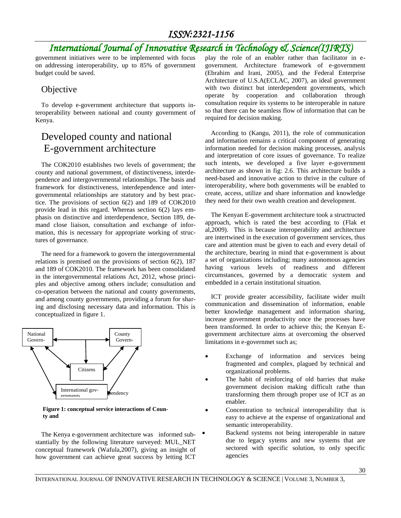# *International Journal of Innovative Research in Technology & Science(IJIRTS)*

government initiatives were to be implemented with focus on addressing interoperability, up to 85% of government budget could be saved.

### **Objective**

To develop e-government architecture that supports interoperability between national and county government of Kenya.

# Developed county and national E-government architecture

The COK2010 establishes two levels of government; the county and national government, of distinctiveness, interdependence and intergovernmental relationships. The basis and framework for distinctiveness, interdependence and intergovernmental relationships are statutory and by best practice. The provisions of section 6(2) and 189 of COK2010 provide lead in this regard. Whereas section 6(2) lays emphasis on distinctive and interdependence, Section 189, demand close liaison, consultation and exchange of information, this is necessary for appropriate working of structures of governance.

The need for a framework to govern the intergovernmental relations is premised on the provisions of section 6(2), 187 and 189 of COK2010. The framework has been consolidated in the intergovernmental relations Act, 2012, whose principles and objective among others include; consultation and co-operation between the national and county governments, and among county governments, providing a forum for sharing and disclosing necessary data and information. This is conceptualized in figure 1.



**Figure 1: conceptual service interactions of County and**

The Kenya e-government architecture was informed substantially by the following literature surveyed: MUL\_NET conceptual framework (Wafula,2007), giving an insight of how government can achieve great success by letting ICT

play the role of an enabler rather than facilitator in egovernment. Architecture framework of e-government (Ebrahim and Irani, 2005), and the Federal Enterprise Architecture of U.S.A(ECLAC, 2007), an ideal government with two distinct but interdependent governments, which operate by cooperation and collaboration through consultation require its systems to be interoperable in nature so that there can be seamless flow of information that can be required for decision making.

According to (Kangu, 2011), the role of communication and information remains a critical component of generating information needed for decision making processes, analysis and interpretation of core issues of governance. To realize such intents, we developed a five layer e-government architecture as shown in fig: 2.6. This architecture builds a need-based and innovative action to thrive in the culture of interoperability, where both governments will be enabled to create, access, utilize and share information and knowledge they need for their own wealth creation and development.

The Kenyan E-government architecture took a structructed approach, which is rated the best according to (Flak et al,2009). This is because interoperability and architecture are intertwined in the execution of government services, thus care and attention must be given to each and every detail of the architecture, bearing in mind that e-government is about a set of organizations including; many autonomous agencies having various levels of readiness and different circumstances, governed by a democratic system and embedded in a certain institutional situation.

ICT provide greater accessibility, facilitate wider muilt communication and dissemination of information, enable better knowledge management and information sharing, increase government productivity once the processes have been transformed. In order to achieve this; the Kenyan Egovernment architecture aims at overcoming the observed limitations in e-governmet such as;

- Exchange of information and services being fragmented and complex, plagued by technical and organizational problems.
- The habit of reinforcing of old barries that make government decision making difficult rathe than transforming them through proper use of ICT as an enabler.
- Concentration to technical interoperability that is easy to achieve at the expense of organizational and semantic interoperability.
	- Backend systems not being interoperable in nature due to legacy sytems and new systems that are sectored with specific solution, to only specific agencies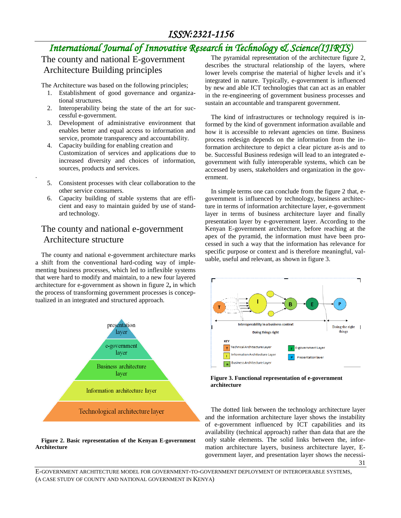# *International Journal of Innovative Research in Technology & Science(IJIRTS)*

The county and national E-government Architecture Building principles

The Architecture was based on the following principles;

- 1. Establishment of good governance and organizational structures.
- 2. Interoperability being the state of the art for successful e-government.
- 3. Development of administrative environment that enables better and equal access to information and service, promote transparency and accountability.
- 4. Capacity building for enabling creation and Customization of services and applications due to increased diversity and choices of information, sources, products and services.
- 5. Consistent processes with clear collaboration to the other service consumers.

.

6. Capacity building of stable systems that are efficient and easy to maintain guided by use of standard technology.

### The county and national e-government Architecture structure

The county and national e-government architecture marks a shift from the conventional hard-coding way of implementing business processes, which led to inflexible systems that were hard to modify and maintain, to a new four layered architecture for e-government as shown in figure 2**,** in which the process of transforming government processes is conceptualized in an integrated and structured approach.



#### **Figure 2. Basic representation of the Kenyan E-government Architecture**

The pyramidal representation of the architecture figure 2, describes the structural relationship of the layers, where lower levels comprise the material of higher levels and it's integrated in nature. Typically, e-government is influenced by new and able ICT technologies that can act as an enabler in the re-engineering of government business processes and sustain an accountable and transparent government.

The kind of infrastructures or technology required is informed by the kind of government information available and how it is accessible to relevant agencies on time. Business process redesign depends on the information from the information architecture to depict a clear picture as-is and to be. Successful Business redesign will lead to an integrated egovernment with fully interoperable systems, which can be accessed by users, stakeholders and organization in the government.

In simple terms one can conclude from the figure 2 that, egovernment is influenced by technology, business architecture in terms of information architecture layer, e-government layer in terms of business architecture layer and finally presentation layer by e-government layer. According to the Kenyan E-government architecture, before reaching at the apex of the pyramid, the information must have been processed in such a way that the information has relevance for specific purpose or context and is therefore meaningful, valuable, useful and relevant, as shown in figure 3.



**Figure 3. Functional representation of e-government architecture**

The dotted link between the technology architecture layer and the information architecture layer shows the instability of e-government influenced by ICT capabilities and its availability (technical approach) rather than data that are the only stable elements. The solid links between the, information architecture layers, business architecture layer, Egovernment layer, and presentation layer shows the necessi-

31

E-GOVERNMENT ARCHITECTURE MODEL FOR GOVERNMENT-TO-GOVERNMENT DEPLOYMENT OF INTEROPERABLE SYSTEMS, (A CASE STUDY OF COUNTY AND NATIONAL GOVERNMENT IN KENYA)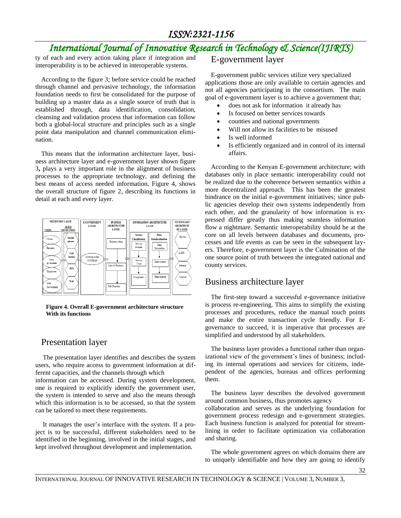# *International Journal of Innovative Research in Technology & Science(IJIRTS)*

ty of each and every action taking place if integration and interoperability is to be achieved in interoperable systems.

According to the figure 3; before service could be reached through channel and pervasive technology, the information foundation needs to first be consolidated for the purpose of building up a master data as a single source of truth that is established through, data identification, consolidation, cleansing and validation process that information can follow both a global-local structure and principles such as a single point data manipulation and channel communication elimination.

This means that the information architecture layer, business architecture layer and e-government layer shown figure 3**,** plays a very important role in the alignment of business processes to the appropriate technology, and defining the best means of access needed information. Figure 4, shows the overall structure of figure 2, describing its functions in detail at each and every layer.



**Figure 4. Overall E-government architecture structure With its functions**

#### Presentation layer

The presentation layer identifies and describes the system users, who require access to government information at different capacities, and the channels through which information can be accessed. During system development, one is required to explicitly identify the government user, the system is intended to serve and also the means through which this information is to be accessed, so that the system

can be tailored to meet these requirements. It manages the user's interface with the system. If a project is to be successful, different stakeholders need to be identified in the beginning, involved in the initial stages, and

kept involved throughout development and implementation.

#### E-government layer

E-government public services utilize very specialized applications those are only available to certain agencies and not all agencies participating in the consortium. The main goal of e-government layer is to achieve a government that;

- does not ask for information it already has
- Is focused on better services towards
- counties and national governments
- Will not allow its facilities to be misused
- Is well informed
- Is efficiently organized and in control of its internal affairs.

According to the Kenyan E-government architecture; with databases only in place semantic interoperability could not be realized due to the coherence between semantics within a more decentralized approach. This has been the greatest hindrance on the initial e-government initiatives; since public agencies develop their own systems independently from each other, and the granularity of how information is expressed differ greatly thus making seamless information flow a nightmare. Semantic interoperability should be at the core on all levels between databases and documents, processes and life events as can be seen in the subsequent layers. Therefore, e-government layer is the Culmination of the one source point of truth between the integrated national and county services.

#### Business architecture layer

The first-step toward a successful e-governance initiative is process re-engineering. This aims to simplify the existing processes and procedures, reduce the manual touch points and make the entire transaction cycle friendly. For Egovernance to succeed, it is imperative that processes are simplified and understood by all stakeholders.

The business layer provides a functional rather than organizational view of the government's lines of business; including its internal operations and services for citizens, independent of the agencies, bureaus and offices performing them.

The business layer describes the devolved government around common business, thus promotes agency collaboration and serves as the underlying foundation for government process redesign and e-government strategies. Each business function is analyzed for potential for streamlining in order to facilitate optimization via collaboration and sharing.

The whole government agrees on which domains there are to uniquely identifiable and how they are going to identify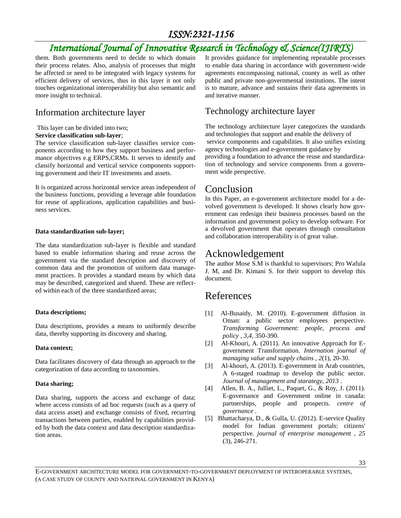# *International Journal of Innovative Research in Technology & Science(IJIRTS)*

them. Both governments need to decide to which domain their process relates. Also, analysis of processes that might be affected or need to be integrated with legacy systems for efficient delivery of services, thus in this layer it not only touches organizational interoperability but also semantic and more insight to technical.

### Information architecture layer

This layer can be divided into two;

#### **Service classification sub-layer**;

The service classification sub-layer classifies service components according to how they support business and performance objectives e.g ERPS,CRMs. It serves to identify and classify horizontal and vertical service components supporting government and their IT investments and assets.

It is organized across horizontal service areas independent of the business functions, providing a leverage able foundation for reuse of applications, application capabilities and business services.

#### **Data standardization sub-layer;**

The data standardization sub-layer is flexible and standard based to enable information sharing and reuse across the government via the standard description and discovery of common data and the promotion of uniform data management practices. It provides a standard means by which data may be described, categorized and shared. These are reflected within each of the three standardized areas;

#### **Data descriptions;**

Data descriptions, provides a means to uniformly describe data, thereby supporting its discovery and sharing.

#### **Data context;**

Data facilitates discovery of data through an approach to the categorization of data according to taxonomies.

#### **Data sharing;**

Data sharing, supports the access and exchange of data; where access consists of ad hoc requests (such as a query of data access asset) and exchange consists of fixed, recurring transactions between parties, enabled by capabilities provided by both the data context and data description standardization areas.

It provides guidance for implementing repeatable processes to enable data sharing in accordance with government-wide agreements encompassing national, county as well as other public and private non-governmental institutions. The intent is to mature, advance and sustains their data agreements in and iterative manner.

### Technology architecture layer

The technology architecture layer categorizes the standards and technologies that support and enable the delivery of service components and capabilities. It also unifies existing agency technologies and e-government guidance by providing a foundation to advance the reuse and standardization of technology and service components from a government wide perspective.

## Conclusion

In this Paper, an e-government architecture model for a devolved government is developed. It shows clearly how government can redesign their business processes based on the information and government policy to develop software. For a devolved government that operates through consultation and collaboration interoperability is of great value.

# Acknowledgement

The author Mose S.M is thankful to supervisors; Pro Wafula J. M, and Dr. Kimani S. for their support to develop this document.

## References

- [1] Al-Busaidy, M. (2010). E-government diffusion in Oman: a public sector employees perspective. *Transforming Government: people, process and policy , 3,4*, 350-390.
- [2] Al-Khouri, A. (2011). An innovative Approach for Egovernment Transformation. *Internation journal of managing value and supply chains , 2*(1), 20-30.
- [3] Al-khouri, A. (2013). E-government in Arab countries, A 6-staged roadmap to develop the public sector. *Journal of management and starategy, 2013* .
- [4] Allen, B. A., Julliet, L., Paquet, G., & Roy, J. (2011). E-governance and Government online in canada: partnerships, people and prospects. *centre of governance* .
- [5] Bhattacharya, D., & Gulla, U. (2012). E-service Quality model for Indian government portals: citizens' perspective. *journal of enterprise management , 25* (3), 246-271.